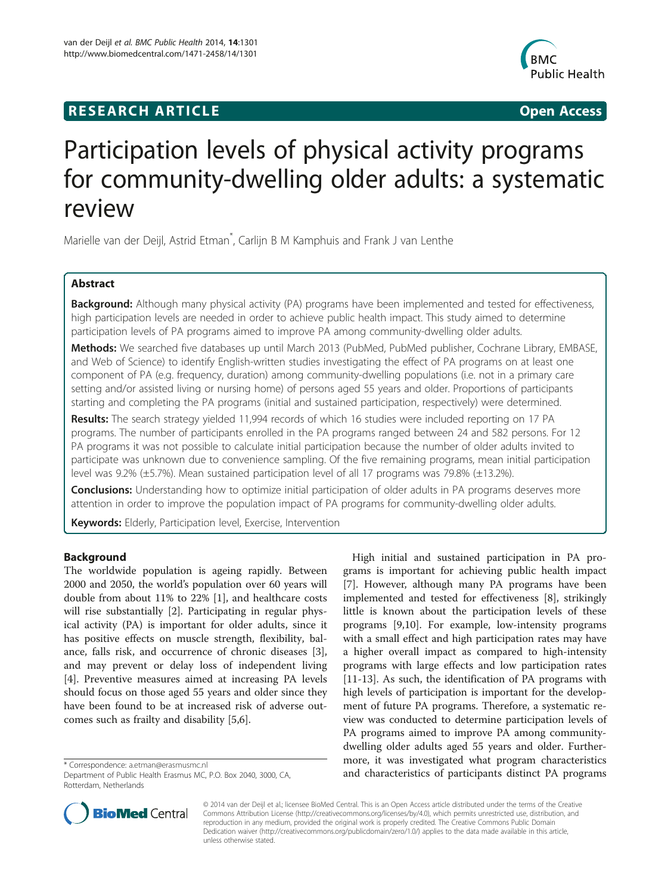# **RESEARCH ARTICLE Example 2018 12:00 Department of the CONNECTION CONNECTION CONNECTION CONNECTION**



# Participation levels of physical activity programs for community-dwelling older adults: a systematic review

Marielle van der Deijl, Astrid Etman\* , Carlijn B M Kamphuis and Frank J van Lenthe

# Abstract

Background: Although many physical activity (PA) programs have been implemented and tested for effectiveness, high participation levels are needed in order to achieve public health impact. This study aimed to determine participation levels of PA programs aimed to improve PA among community-dwelling older adults.

Methods: We searched five databases up until March 2013 (PubMed, PubMed publisher, Cochrane Library, EMBASE, and Web of Science) to identify English-written studies investigating the effect of PA programs on at least one component of PA (e.g. frequency, duration) among community-dwelling populations (i.e. not in a primary care setting and/or assisted living or nursing home) of persons aged 55 years and older. Proportions of participants starting and completing the PA programs (initial and sustained participation, respectively) were determined.

Results: The search strategy yielded 11,994 records of which 16 studies were included reporting on 17 PA programs. The number of participants enrolled in the PA programs ranged between 24 and 582 persons. For 12 PA programs it was not possible to calculate initial participation because the number of older adults invited to participate was unknown due to convenience sampling. Of the five remaining programs, mean initial participation level was 9.2% (±5.7%). Mean sustained participation level of all 17 programs was 79.8% (±13.2%).

**Conclusions:** Understanding how to optimize initial participation of older adults in PA programs deserves more attention in order to improve the population impact of PA programs for community-dwelling older adults.

Keywords: Elderly, Participation level, Exercise, Intervention

# Background

The worldwide population is ageing rapidly. Between 2000 and 2050, the world's population over 60 years will double from about 11% to 22% [[1\]](#page-7-0), and healthcare costs will rise substantially [\[2](#page-7-0)]. Participating in regular physical activity (PA) is important for older adults, since it has positive effects on muscle strength, flexibility, balance, falls risk, and occurrence of chronic diseases [\[3](#page-7-0)], and may prevent or delay loss of independent living [[4\]](#page-7-0). Preventive measures aimed at increasing PA levels should focus on those aged 55 years and older since they have been found to be at increased risk of adverse outcomes such as frailty and disability [\[5,6](#page-7-0)].

High initial and sustained participation in PA programs is important for achieving public health impact [[7\]](#page-7-0). However, although many PA programs have been implemented and tested for effectiveness [\[8\]](#page-7-0), strikingly little is known about the participation levels of these programs [\[9,10](#page-7-0)]. For example, low-intensity programs with a small effect and high participation rates may have a higher overall impact as compared to high-intensity programs with large effects and low participation rates [[11-13](#page-7-0)]. As such, the identification of PA programs with high levels of participation is important for the development of future PA programs. Therefore, a systematic review was conducted to determine participation levels of PA programs aimed to improve PA among communitydwelling older adults aged 55 years and older. Furthermore, it was investigated what program characteristics and chrespondence: [a.etman@erasmusmc.nl](mailto:a.etman@erasmusmc.nl)<br>Department of Public Health Erasmus MC, P.O. Box 2040, 3000, CA, and characteristics of participants distinct PA programs



© 2014 van der Deijl et al.; licensee BioMed Central. This is an Open Access article distributed under the terms of the Creative Commons Attribution License [\(http://creativecommons.org/licenses/by/4.0\)](http://creativecommons.org/licenses/by/4.0), which permits unrestricted use, distribution, and reproduction in any medium, provided the original work is properly credited. The Creative Commons Public Domain Dedication waiver [\(http://creativecommons.org/publicdomain/zero/1.0/](http://creativecommons.org/publicdomain/zero/1.0/)) applies to the data made available in this article, unless otherwise stated.

Department of Public Health Erasmus MC, P.O. Box 2040, 3000, CA, Rotterdam, Netherlands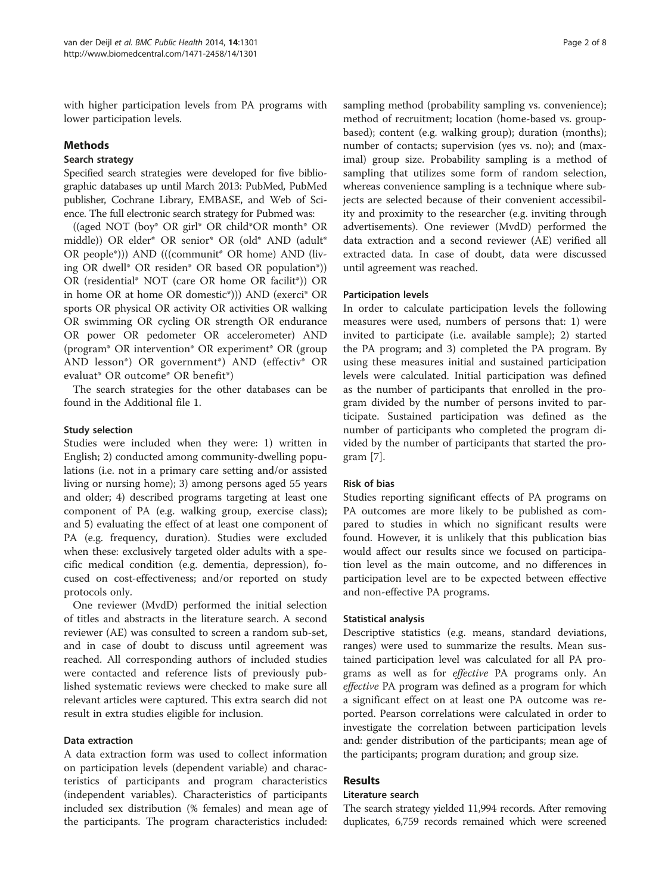with higher participation levels from PA programs with lower participation levels.

# Methods

# Search strategy

Specified search strategies were developed for five bibliographic databases up until March 2013: PubMed, PubMed publisher, Cochrane Library, EMBASE, and Web of Science. The full electronic search strategy for Pubmed was:

((aged NOT (boy\* OR girl\* OR child\*OR month\* OR middle)) OR elder\* OR senior\* OR (old\* AND (adult\* OR people\*))) AND (((communit\* OR home) AND (living OR dwell\* OR residen\* OR based OR population\*)) OR (residential\* NOT (care OR home OR facilit\*)) OR in home OR at home OR domestic\*))) AND (exerci\* OR sports OR physical OR activity OR activities OR walking OR swimming OR cycling OR strength OR endurance OR power OR pedometer OR accelerometer) AND (program\* OR intervention\* OR experiment\* OR (group AND lesson\*) OR government\*) AND (effectiv\* OR evaluat\* OR outcome\* OR benefit\*)

The search strategies for the other databases can be found in the Additional file [1.](#page-6-0)

# Study selection

Studies were included when they were: 1) written in English; 2) conducted among community-dwelling populations (i.e. not in a primary care setting and/or assisted living or nursing home); 3) among persons aged 55 years and older; 4) described programs targeting at least one component of PA (e.g. walking group, exercise class); and 5) evaluating the effect of at least one component of PA (e.g. frequency, duration). Studies were excluded when these: exclusively targeted older adults with a specific medical condition (e.g. dementia, depression), focused on cost-effectiveness; and/or reported on study protocols only.

One reviewer (MvdD) performed the initial selection of titles and abstracts in the literature search. A second reviewer (AE) was consulted to screen a random sub-set, and in case of doubt to discuss until agreement was reached. All corresponding authors of included studies were contacted and reference lists of previously published systematic reviews were checked to make sure all relevant articles were captured. This extra search did not result in extra studies eligible for inclusion.

#### Data extraction

A data extraction form was used to collect information on participation levels (dependent variable) and characteristics of participants and program characteristics (independent variables). Characteristics of participants included sex distribution (% females) and mean age of the participants. The program characteristics included:

sampling method (probability sampling vs. convenience); method of recruitment; location (home-based vs. groupbased); content (e.g. walking group); duration (months); number of contacts; supervision (yes vs. no); and (maximal) group size. Probability sampling is a method of sampling that utilizes some form of random selection, whereas convenience sampling is a technique where subjects are selected because of their convenient accessibility and proximity to the researcher (e.g. inviting through advertisements). One reviewer (MvdD) performed the data extraction and a second reviewer (AE) verified all extracted data. In case of doubt, data were discussed until agreement was reached.

# Participation levels

In order to calculate participation levels the following measures were used, numbers of persons that: 1) were invited to participate (i.e. available sample); 2) started the PA program; and 3) completed the PA program. By using these measures initial and sustained participation levels were calculated. Initial participation was defined as the number of participants that enrolled in the program divided by the number of persons invited to participate. Sustained participation was defined as the number of participants who completed the program divided by the number of participants that started the program [[7\]](#page-7-0).

# Risk of bias

Studies reporting significant effects of PA programs on PA outcomes are more likely to be published as compared to studies in which no significant results were found. However, it is unlikely that this publication bias would affect our results since we focused on participation level as the main outcome, and no differences in participation level are to be expected between effective and non-effective PA programs.

#### Statistical analysis

Descriptive statistics (e.g. means, standard deviations, ranges) were used to summarize the results. Mean sustained participation level was calculated for all PA programs as well as for *effective* PA programs only. An effective PA program was defined as a program for which a significant effect on at least one PA outcome was reported. Pearson correlations were calculated in order to investigate the correlation between participation levels and: gender distribution of the participants; mean age of the participants; program duration; and group size.

# Results

#### Literature search

The search strategy yielded 11,994 records. After removing duplicates, 6,759 records remained which were screened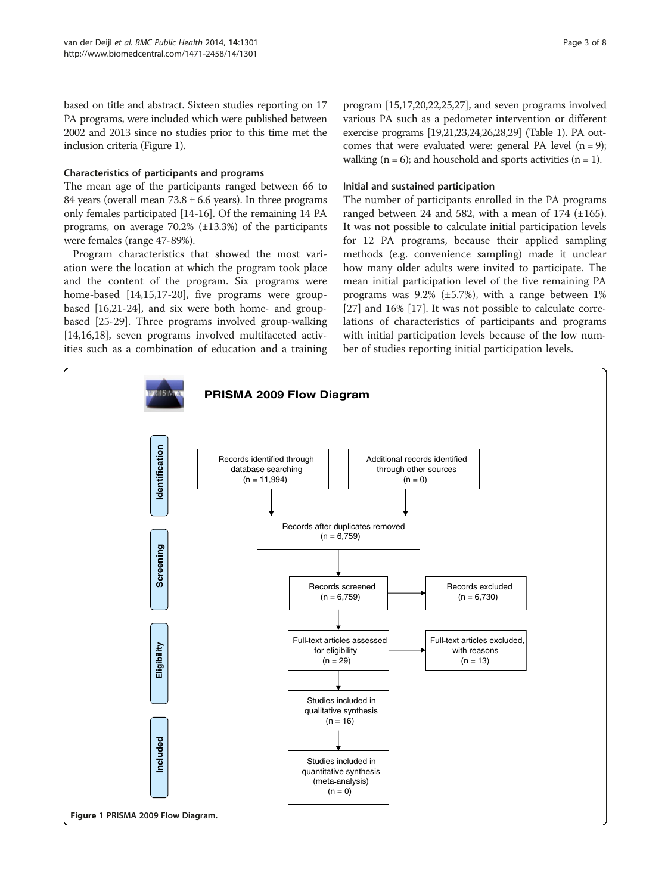based on title and abstract. Sixteen studies reporting on 17 PA programs, were included which were published between 2002 and 2013 since no studies prior to this time met the inclusion criteria (Figure 1).

#### Characteristics of participants and programs

The mean age of the participants ranged between 66 to 84 years (overall mean  $73.8 \pm 6.6$  years). In three programs only females participated [[14-16\]](#page-7-0). Of the remaining 14 PA programs, on average 70.2% (±13.3%) of the participants were females (range 47-89%).

Program characteristics that showed the most variation were the location at which the program took place and the content of the program. Six programs were home-based [\[14,15,17-20](#page-7-0)], five programs were groupbased [\[16,21-24](#page-7-0)], and six were both home- and groupbased [\[25](#page-7-0)-[29\]](#page-7-0). Three programs involved group-walking [[14,16,18\]](#page-7-0), seven programs involved multifaceted activities such as a combination of education and a training

program [\[15,17,20,22,25,27](#page-7-0)], and seven programs involved various PA such as a pedometer intervention or different exercise programs [[19,21,23,24,26,28,29](#page-7-0)] (Table [1\)](#page-3-0). PA outcomes that were evaluated were: general PA level  $(n = 9)$ ; walking  $(n = 6)$ ; and household and sports activities  $(n = 1)$ .

#### Initial and sustained participation

The number of participants enrolled in the PA programs ranged between 24 and 582, with a mean of 174  $(\pm 165)$ . It was not possible to calculate initial participation levels for 12 PA programs, because their applied sampling methods (e.g. convenience sampling) made it unclear how many older adults were invited to participate. The mean initial participation level of the five remaining PA programs was 9.2% (±5.7%), with a range between 1% [[27\]](#page-7-0) and 16% [\[17\]](#page-7-0). It was not possible to calculate correlations of characteristics of participants and programs with initial participation levels because of the low number of studies reporting initial participation levels.

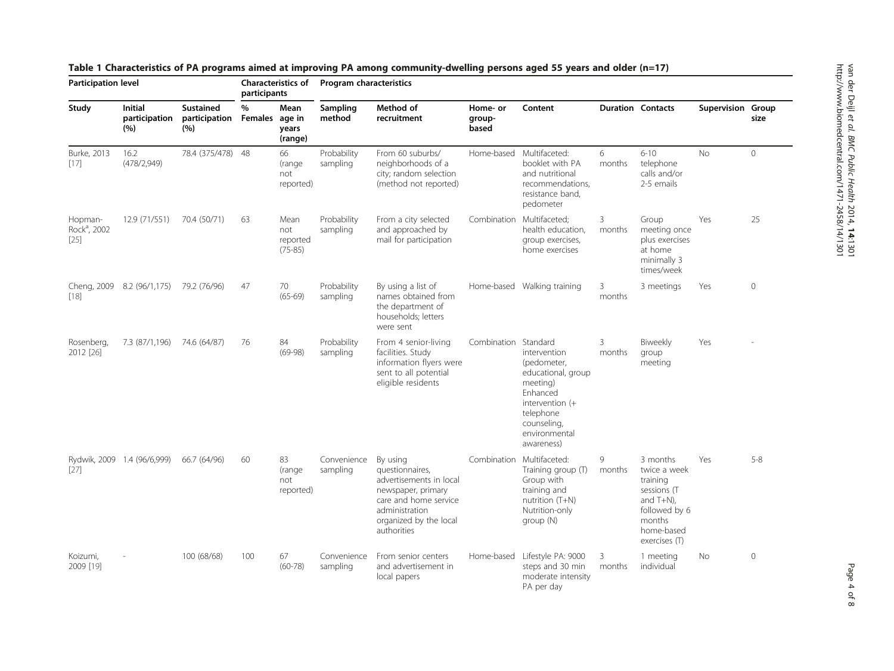| <b>Participation level</b>                    |                                         |                                          | <b>Characteristics of</b><br>participants |                                      | Program characteristics |                                                                                                                                                                  |                             |                                                                                                                                                                     |             |                                                                                                                               |                          |              |
|-----------------------------------------------|-----------------------------------------|------------------------------------------|-------------------------------------------|--------------------------------------|-------------------------|------------------------------------------------------------------------------------------------------------------------------------------------------------------|-----------------------------|---------------------------------------------------------------------------------------------------------------------------------------------------------------------|-------------|-------------------------------------------------------------------------------------------------------------------------------|--------------------------|--------------|
| Study                                         | <b>Initial</b><br>participation<br>(% ) | <b>Sustained</b><br>participation<br>(%) | %<br>Females age in                       | Mean<br>years<br>(range)             | Sampling<br>method      | Method of<br>recruitment                                                                                                                                         | Home- or<br>group-<br>based | Content                                                                                                                                                             |             | <b>Duration Contacts</b>                                                                                                      | <b>Supervision Group</b> | size         |
| Burke, 2013<br>$[17]$                         | 16.2<br>(478/2,949)                     | 78.4 (375/478)                           | 48                                        | 66<br>(range<br>not<br>reported)     | Probability<br>sampling | From 60 suburbs/<br>neighborhoods of a<br>city; random selection<br>(method not reported)                                                                        | Home-based                  | Multifaceted:<br>booklet with PA<br>and nutritional<br>recommendations,<br>resistance band<br>pedometer                                                             | 6<br>months | $6 - 10$<br>telephone<br>calls and/or<br>2-5 emails                                                                           | <b>No</b>                | $\mathbf{0}$ |
| Hopman-<br>Rock <sup>a</sup> , 2002<br>$[25]$ | 12.9 (71/551)                           | 70.4 (50/71)                             | 63                                        | Mean<br>not<br>reported<br>$(75-85)$ | Probability<br>sampling | From a city selected<br>and approached by<br>mail for participation                                                                                              | Combination                 | Multifaceted;<br>health education,<br>group exercises,<br>home exercises                                                                                            | 3<br>months | Group<br>meeting once<br>plus exercises<br>at home<br>minimally 3<br>times/week                                               | Yes                      | 25           |
| Cheng, 2009<br>$[18]$                         | 8.2 (96/1,175)                          | 79.2 (76/96)                             | 47                                        | 70<br>$(65-69)$                      | Probability<br>sampling | By using a list of<br>names obtained from<br>the department of<br>households; letters<br>were sent                                                               |                             | Home-based Walking training                                                                                                                                         | 3<br>months | 3 meetings                                                                                                                    | Yes                      | $\mathbf{0}$ |
| Rosenberg,<br>2012 [26]                       | 7.3 (87/1,196)                          | 74.6 (64/87)                             | 76                                        | 84<br>$(69-98)$                      | Probability<br>sampling | From 4 senior-living<br>facilities. Study<br>information flyers were<br>sent to all potential<br>eligible residents                                              | Combination                 | Standard<br>intervention<br>(pedometer,<br>educational, group<br>meeting)<br>Enhanced<br>intervention (+<br>telephone<br>counseling,<br>environmental<br>awareness) | 3<br>months | Biweekly<br>group<br>meeting                                                                                                  | Yes                      |              |
| $[27]$                                        | Rydwik, 2009 1.4 (96/6,999)             | 66.7 (64/96)                             | 60                                        | 83<br>(range<br>not<br>reported)     | Convenience<br>sampling | By using<br>questionnaires,<br>advertisements in local<br>newspaper, primary<br>care and home service<br>administration<br>organized by the local<br>authorities | Combination                 | Multifaceted:<br>Training group (T)<br>Group with<br>training and<br>nutrition (T+N)<br>Nutrition-only<br>group (N)                                                 | 9<br>months | 3 months<br>twice a week<br>training<br>sessions (T<br>and $T+N$ ),<br>followed by 6<br>months<br>home-based<br>exercises (T) | Yes                      | $5 - 8$      |
| Koizumi,<br>2009 [19]                         |                                         | 100 (68/68)                              | 100                                       | 67<br>$(60 - 78)$                    | Convenience<br>sampling | From senior centers<br>and advertisement in<br>local papers                                                                                                      | Home-based                  | Lifestyle PA: 9000<br>steps and 30 min<br>moderate intensity<br>PA per day                                                                                          | 3<br>months | 1 meeting<br>individual                                                                                                       | No                       | $\mathbf{0}$ |

# <span id="page-3-0"></span>Table 1 Characteristics of PA programs aimed at improving PA among community-dwelling persons aged 55 years and older (n=17)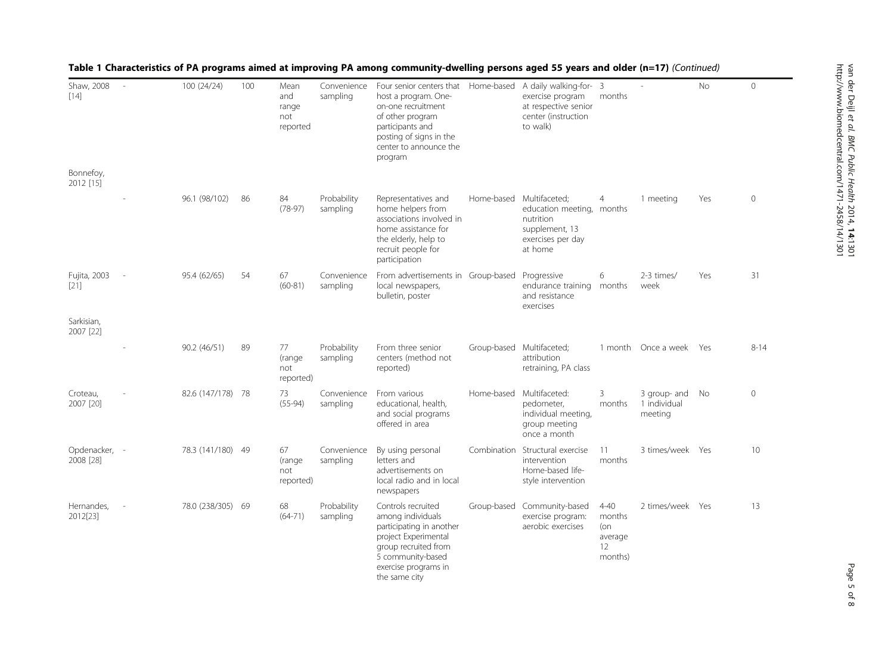| Shaw, 2008<br>$[14]$       | 100 (24/24)       | 100 | Mean<br>and<br>range<br>not<br>reported | Convenience<br>sampling | Four senior centers that<br>host a program. One-<br>on-one recruitment<br>of other program<br>participants and<br>posting of signs in the<br>center to announce the<br>program    | Home-based  | A daily walking-for- 3<br>exercise program<br>at respective senior<br>center (instruction<br>to walk)                | months                                                |                                         | No        | $\Omega$     |
|----------------------------|-------------------|-----|-----------------------------------------|-------------------------|-----------------------------------------------------------------------------------------------------------------------------------------------------------------------------------|-------------|----------------------------------------------------------------------------------------------------------------------|-------------------------------------------------------|-----------------------------------------|-----------|--------------|
| Bonnefoy,<br>2012 [15]     |                   |     |                                         |                         |                                                                                                                                                                                   |             |                                                                                                                      |                                                       |                                         |           |              |
|                            | 96.1 (98/102)     | 86  | 84<br>$(78-97)$                         | Probability<br>sampling | Representatives and<br>home helpers from<br>associations involved in<br>home assistance for<br>the elderly, help to<br>recruit people for<br>participation                        |             | Home-based Multifaceted:<br>education meeting, months<br>nutrition<br>supplement, 13<br>exercises per day<br>at home | $\overline{4}$                                        | 1 meeting                               | Yes       | 0            |
| Fujita, 2003<br>[21]       | 95.4 (62/65)      | 54  | 67<br>$(60-81)$                         | Convenience<br>sampling | From advertisements in Group-based<br>local newspapers,<br>bulletin, poster                                                                                                       |             | Progressive<br>endurance training<br>and resistance<br>exercises                                                     | 6<br>months                                           | 2-3 times/<br>week                      | Yes       | 31           |
| Sarkisian,<br>2007 [22]    |                   |     |                                         |                         |                                                                                                                                                                                   |             |                                                                                                                      |                                                       |                                         |           |              |
|                            | 90.2 (46/51)      | 89  | 77<br>(range<br>not<br>reported)        | Probability<br>sampling | From three senior<br>centers (method not<br>reported)                                                                                                                             |             | Group-based Multifaceted;<br>attribution<br>retraining, PA class                                                     |                                                       | 1 month Once a week                     | Yes       | $8 - 14$     |
| Croteau,<br>2007 [20]      | 82.6 (147/178) 78 |     | 73<br>$(55-94)$                         | Convenience<br>sampling | From various<br>educational, health,<br>and social programs<br>offered in area                                                                                                    | Home-based  | Multifaceted:<br>pedometer,<br>individual meeting,<br>group meeting<br>once a month                                  | 3<br>months                                           | 3 group- and<br>1 individual<br>meeting | <b>No</b> | $\mathbf{0}$ |
| Opdenacker, -<br>2008 [28] | 78.3 (141/180) 49 |     | 67<br>(range<br>not<br>reported)        | Convenience<br>sampling | By using personal<br>letters and<br>advertisements on<br>local radio and in local<br>newspapers                                                                                   |             | Combination Structural exercise<br>intervention<br>Home-based life-<br>style intervention                            | 11<br>months                                          | 3 times/week Yes                        |           | 10           |
| Hernandes,<br>2012[23]     | 78.0 (238/305) 69 |     | 68<br>$(64 - 71)$                       | Probability<br>sampling | Controls recruited<br>among individuals<br>participating in another<br>project Experimental<br>group recruited from<br>5 community-based<br>exercise programs in<br>the same city | Group-based | Community-based<br>exercise program:<br>aerobic exercises                                                            | $4 - 40$<br>months<br>(on<br>average<br>12<br>months) | 2 times/week Yes                        |           | 13           |

# Table 1 Characteristics of PA programs aimed at improving PA among community-dwelling persons aged 55 years and older (n=17) (Continued)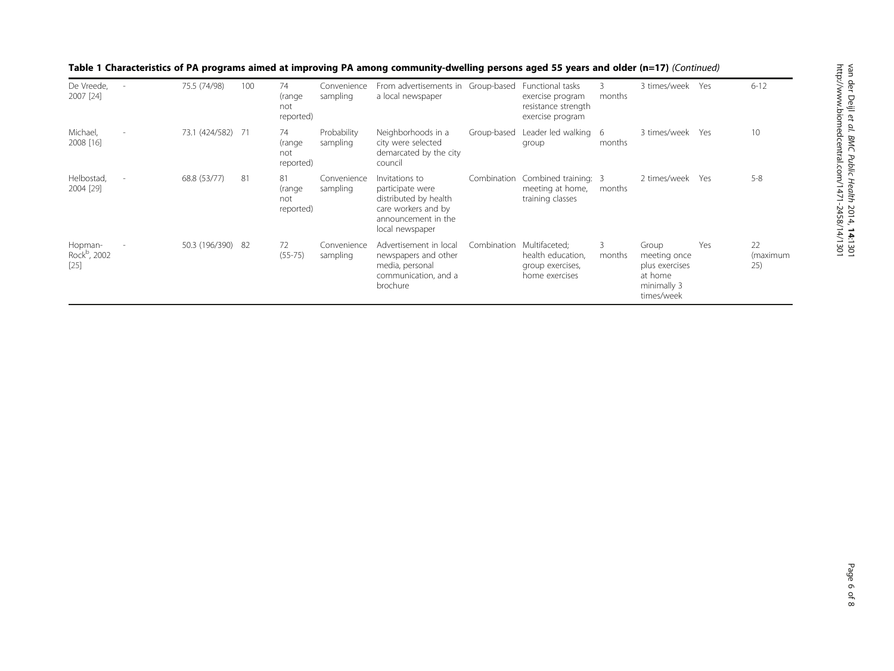| De Vreede,<br>2007 [24]                       | 75.5 (74/98)      | 100 | 74<br>(range<br>not<br>reported) | Convenience<br>sampling | From advertisements in Group-based<br>a local newspaper                                                                      |             | Functional tasks<br>exercise program<br>resistance strength<br>exercise program | months      | 3 times/week                                                                    | Yes | $6 - 12$              |
|-----------------------------------------------|-------------------|-----|----------------------------------|-------------------------|------------------------------------------------------------------------------------------------------------------------------|-------------|---------------------------------------------------------------------------------|-------------|---------------------------------------------------------------------------------|-----|-----------------------|
| Michael,<br>$2008$ [16]                       | 73.1 (424/582) 71 |     | 74<br>(range<br>not<br>reported) | Probability<br>sampling | Neighborhoods in a<br>city were selected<br>demarcated by the city<br>council                                                | Group-based | Leader led walking 6<br>group                                                   | months      | 3 times/week                                                                    | Yes | 10                    |
| Helbostad,<br>2004 [29]                       | 68.8 (53/77)      | 81  | 81<br>(range<br>not<br>reported) | Convenience<br>sampling | Invitations to<br>participate were<br>distributed by health<br>care workers and by<br>announcement in the<br>local newspaper | Combination | Combined training: 3<br>meeting at home,<br>training classes                    | months      | 2 times/week                                                                    | Yes | $5 - 8$               |
| Hopman-<br>Rock <sup>b</sup> , 2002<br>$[25]$ | 50.3 (196/390) 82 |     | 72<br>$(55 - 75)$                | Convenience<br>sampling | Advertisement in local<br>newspapers and other<br>media, personal<br>communication, and a<br>brochure                        | Combination | Multifaceted:<br>health education,<br>group exercises,<br>home exercises        | 3<br>months | Group<br>meeting once<br>plus exercises<br>at home<br>minimally 3<br>times/week | Yes | 22<br>(maximum<br>25) |

Table 1 Characteristics of PA programs aimed at improving PA among community-dwelling persons aged 55 years and older (n=17) (Continued)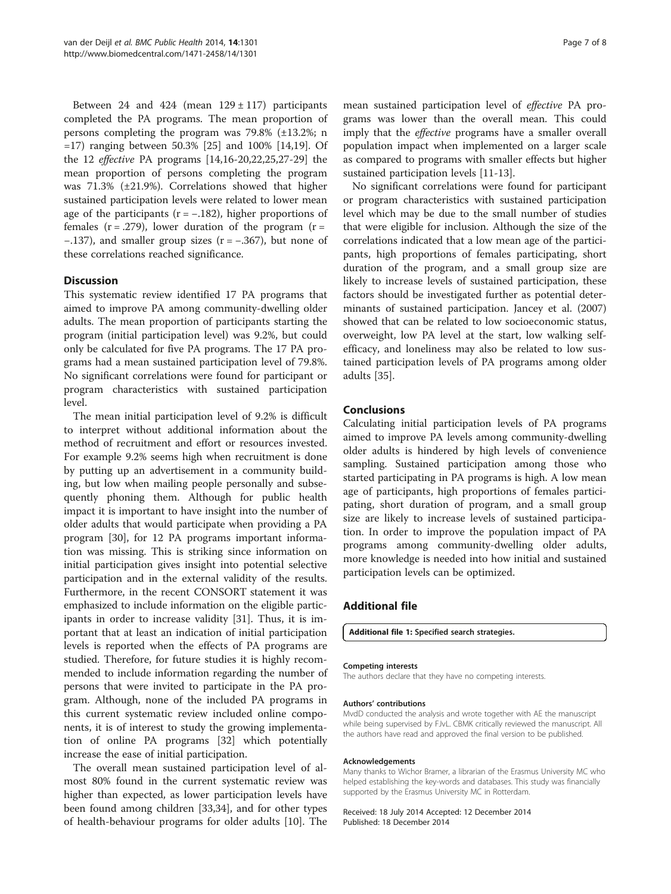<span id="page-6-0"></span>Between 24 and 424 (mean  $129 \pm 117$ ) participants completed the PA programs. The mean proportion of persons completing the program was 79.8% (±13.2%; n =17) ranging between 50.3% [[25](#page-7-0)] and 100% [[14,19\]](#page-7-0). Of the 12 effective PA programs [[14,16-20,22,25,27-29](#page-7-0)] the mean proportion of persons completing the program was 71.3% (±21.9%). Correlations showed that higher sustained participation levels were related to lower mean age of the participants ( $r = -182$ ), higher proportions of females ( $r = .279$ ), lower duration of the program ( $r =$ −.137), and smaller group sizes (r = −.367), but none of these correlations reached significance.

# **Discussion**

This systematic review identified 17 PA programs that aimed to improve PA among community-dwelling older adults. The mean proportion of participants starting the program (initial participation level) was 9.2%, but could only be calculated for five PA programs. The 17 PA programs had a mean sustained participation level of 79.8%. No significant correlations were found for participant or program characteristics with sustained participation level.

The mean initial participation level of 9.2% is difficult to interpret without additional information about the method of recruitment and effort or resources invested. For example 9.2% seems high when recruitment is done by putting up an advertisement in a community building, but low when mailing people personally and subsequently phoning them. Although for public health impact it is important to have insight into the number of older adults that would participate when providing a PA program [\[30](#page-7-0)], for 12 PA programs important information was missing. This is striking since information on initial participation gives insight into potential selective participation and in the external validity of the results. Furthermore, in the recent CONSORT statement it was emphasized to include information on the eligible participants in order to increase validity [[31](#page-7-0)]. Thus, it is important that at least an indication of initial participation levels is reported when the effects of PA programs are studied. Therefore, for future studies it is highly recommended to include information regarding the number of persons that were invited to participate in the PA program. Although, none of the included PA programs in this current systematic review included online components, it is of interest to study the growing implementation of online PA programs [[32\]](#page-7-0) which potentially increase the ease of initial participation.

The overall mean sustained participation level of almost 80% found in the current systematic review was higher than expected, as lower participation levels have been found among children [\[33,34](#page-7-0)], and for other types of health-behaviour programs for older adults [[10](#page-7-0)]. The mean sustained participation level of effective PA programs was lower than the overall mean. This could imply that the effective programs have a smaller overall population impact when implemented on a larger scale as compared to programs with smaller effects but higher sustained participation levels [[11-13](#page-7-0)].

No significant correlations were found for participant or program characteristics with sustained participation level which may be due to the small number of studies that were eligible for inclusion. Although the size of the correlations indicated that a low mean age of the participants, high proportions of females participating, short duration of the program, and a small group size are likely to increase levels of sustained participation, these factors should be investigated further as potential determinants of sustained participation. Jancey et al. (2007) showed that can be related to low socioeconomic status, overweight, low PA level at the start, low walking selfefficacy, and loneliness may also be related to low sustained participation levels of PA programs among older adults [\[35](#page-7-0)].

# Conclusions

Calculating initial participation levels of PA programs aimed to improve PA levels among community-dwelling older adults is hindered by high levels of convenience sampling. Sustained participation among those who started participating in PA programs is high. A low mean age of participants, high proportions of females participating, short duration of program, and a small group size are likely to increase levels of sustained participation. In order to improve the population impact of PA programs among community-dwelling older adults, more knowledge is needed into how initial and sustained participation levels can be optimized.

#### Additional file

[Additional file 1:](http://www.biomedcentral.com/content/supplementary/1471-2458-14-1301-S1.docx) Specified search strategies.

#### Competing interests

The authors declare that they have no competing interests.

#### Authors' contributions

MvdD conducted the analysis and wrote together with AE the manuscript while being supervised by FJvL. CBMK critically reviewed the manuscript. All the authors have read and approved the final version to be published.

#### Acknowledgements

Many thanks to Wichor Bramer, a librarian of the Erasmus University MC who helped establishing the key-words and databases. This study was financially supported by the Erasmus University MC in Rotterdam.

Received: 18 July 2014 Accepted: 12 December 2014 Published: 18 December 2014